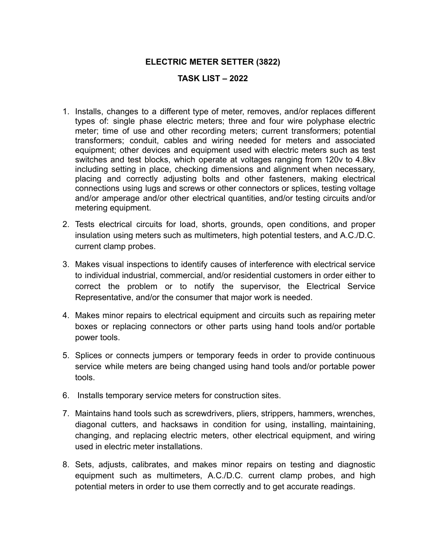## **ELECTRIC METER SETTER (3822)**

## **TASK LIST – 2022**

- 1. Installs, changes to a different type of meter, removes, and/or replaces different types of: single phase electric meters; three and four wire polyphase electric meter; time of use and other recording meters; current transformers; potential transformers; conduit, cables and wiring needed for meters and associated equipment; other devices and equipment used with electric meters such as test switches and test blocks, which operate at voltages ranging from 120v to 4.8kv including setting in place, checking dimensions and alignment when necessary, placing and correctly adjusting bolts and other fasteners, making electrical connections using lugs and screws or other connectors or splices, testing voltage and/or amperage and/or other electrical quantities, and/or testing circuits and/or metering equipment.
- 2. Tests electrical circuits for load, shorts, grounds, open conditions, and proper insulation using meters such as multimeters, high potential testers, and A.C./D.C. current clamp probes.
- 3. Makes visual inspections to identify causes of interference with electrical service to individual industrial, commercial, and/or residential customers in order either to correct the problem or to notify the supervisor, the Electrical Service Representative, and/or the consumer that major work is needed.
- 4. Makes minor repairs to electrical equipment and circuits such as repairing meter boxes or replacing connectors or other parts using hand tools and/or portable power tools.
- 5. Splices or connects jumpers or temporary feeds in order to provide continuous service while meters are being changed using hand tools and/or portable power tools.
- 6. Installs temporary service meters for construction sites.
- 7. Maintains hand tools such as screwdrivers, pliers, strippers, hammers, wrenches, diagonal cutters, and hacksaws in condition for using, installing, maintaining, changing, and replacing electric meters, other electrical equipment, and wiring used in electric meter installations.
- 8. Sets, adjusts, calibrates, and makes minor repairs on testing and diagnostic equipment such as multimeters, A.C./D.C. current clamp probes, and high potential meters in order to use them correctly and to get accurate readings.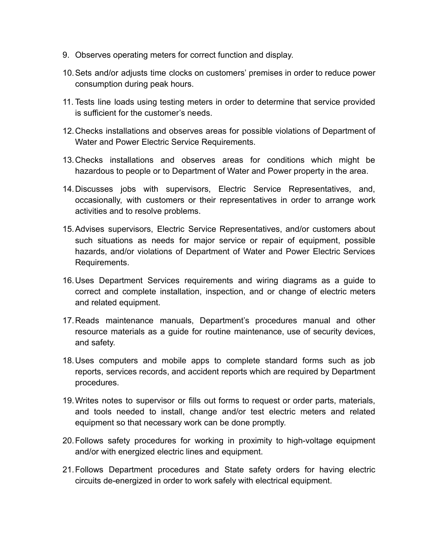- 9. Observes operating meters for correct function and display.
- 10.Sets and/or adjusts time clocks on customers' premises in order to reduce power consumption during peak hours.
- 11. Tests line loads using testing meters in order to determine that service provided is sufficient for the customer's needs.
- 12.Checks installations and observes areas for possible violations of Department of Water and Power Electric Service Requirements.
- 13.Checks installations and observes areas for conditions which might be hazardous to people or to Department of Water and Power property in the area.
- 14.Discusses jobs with supervisors, Electric Service Representatives, and, occasionally, with customers or their representatives in order to arrange work activities and to resolve problems.
- 15.Advises supervisors, Electric Service Representatives, and/or customers about such situations as needs for major service or repair of equipment, possible hazards, and/or violations of Department of Water and Power Electric Services Requirements.
- 16.Uses Department Services requirements and wiring diagrams as a guide to correct and complete installation, inspection, and or change of electric meters and related equipment.
- 17.Reads maintenance manuals, Department's procedures manual and other resource materials as a guide for routine maintenance, use of security devices, and safety.
- 18.Uses computers and mobile apps to complete standard forms such as job reports, services records, and accident reports which are required by Department procedures.
- 19.Writes notes to supervisor or fills out forms to request or order parts, materials, and tools needed to install, change and/or test electric meters and related equipment so that necessary work can be done promptly.
- 20.Follows safety procedures for working in proximity to high-voltage equipment and/or with energized electric lines and equipment.
- 21.Follows Department procedures and State safety orders for having electric circuits de-energized in order to work safely with electrical equipment.